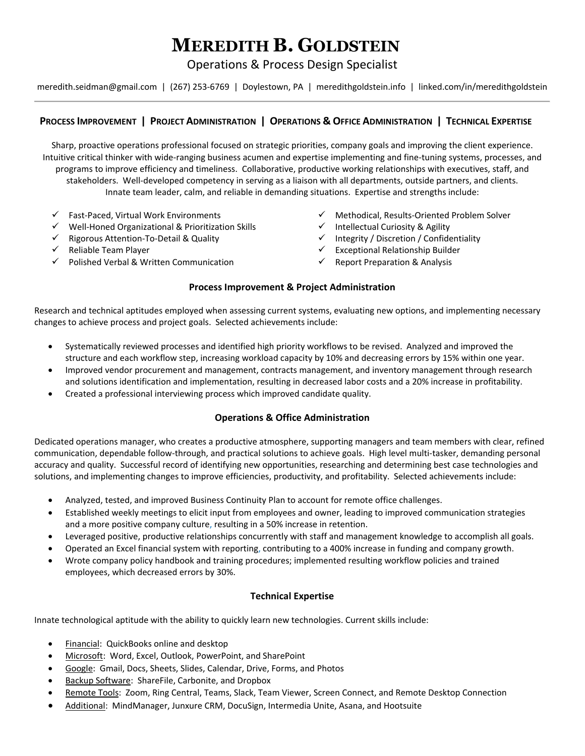# **MEREDITH B. GOLDSTEIN**

Operations & Process Design Specialist

meredith.seidman@gmail.com | (267) 253‐6769 | Doylestown, PA | meredithgoldstein.info | linked.com/in/meredithgoldstein

# PROCESS IMPROVEMENT | PROJECT ADMINISTRATION | OPERATIONS & OFFICE ADMINISTRATION | TECHNICAL EXPERTISE

Sharp, proactive operations professional focused on strategic priorities, company goals and improving the client experience. Intuitive critical thinker with wide‐ranging business acumen and expertise implementing and fine‐tuning systems, processes, and programs to improve efficiency and timeliness. Collaborative, productive working relationships with executives, staff, and stakeholders. Well‐developed competency in serving as a liaison with all departments, outside partners, and clients. Innate team leader, calm, and reliable in demanding situations. Expertise and strengths include:

- $\checkmark$  Fast-Paced, Virtual Work Environments
- Well‐Honed Organizational & Prioritization Skills
- Rigorous Attention‐To‐Detail & Quality
- $\checkmark$  Reliable Team Player
- $\checkmark$  Polished Verbal & Written Communication
- Methodical, Results‐Oriented Problem Solver
- $\checkmark$  Intellectual Curiosity & Agility
- $\checkmark$  Integrity / Discretion / Confidentiality
- $\checkmark$  Exceptional Relationship Builder
- $\checkmark$  Report Preparation & Analysis

## **Process Improvement & Project Administration**

Research and technical aptitudes employed when assessing current systems, evaluating new options, and implementing necessary changes to achieve process and project goals. Selected achievements include:

- Systematically reviewed processes and identified high priority workflows to be revised. Analyzed and improved the structure and each workflow step, increasing workload capacity by 10% and decreasing errors by 15% within one year.
- Improved vendor procurement and management, contracts management, and inventory management through research and solutions identification and implementation, resulting in decreased labor costs and a 20% increase in profitability.
- Created a professional interviewing process which improved candidate quality.

# **Operations & Office Administration**

Dedicated operations manager, who creates a productive atmosphere, supporting managers and team members with clear, refined communication, dependable follow‐through, and practical solutions to achieve goals. High level multi‐tasker, demanding personal accuracy and quality. Successful record of identifying new opportunities, researching and determining best case technologies and solutions, and implementing changes to improve efficiencies, productivity, and profitability. Selected achievements include:

- Analyzed, tested, and improved Business Continuity Plan to account for remote office challenges.
- Established weekly meetings to elicit input from employees and owner, leading to improved communication strategies and a more positive company culture, resulting in a 50% increase in retention.
- Leveraged positive, productive relationships concurrently with staff and management knowledge to accomplish all goals.
- Operated an Excel financial system with reporting, contributing to a 400% increase in funding and company growth.
- Wrote company policy handbook and training procedures; implemented resulting workflow policies and trained employees, which decreased errors by 30%.

# **Technical Expertise**

Innate technological aptitude with the ability to quickly learn new technologies. Current skills include:

- Financial: QuickBooks online and desktop
- Microsoft: Word, Excel, Outlook, PowerPoint, and SharePoint
- Google: Gmail, Docs, Sheets, Slides, Calendar, Drive, Forms, and Photos
- Backup Software: ShareFile, Carbonite, and Dropbox
- Remote Tools: Zoom, Ring Central, Teams, Slack, Team Viewer, Screen Connect, and Remote Desktop Connection
- Additional: MindManager, Junxure CRM, DocuSign, Intermedia Unite, Asana, and Hootsuite